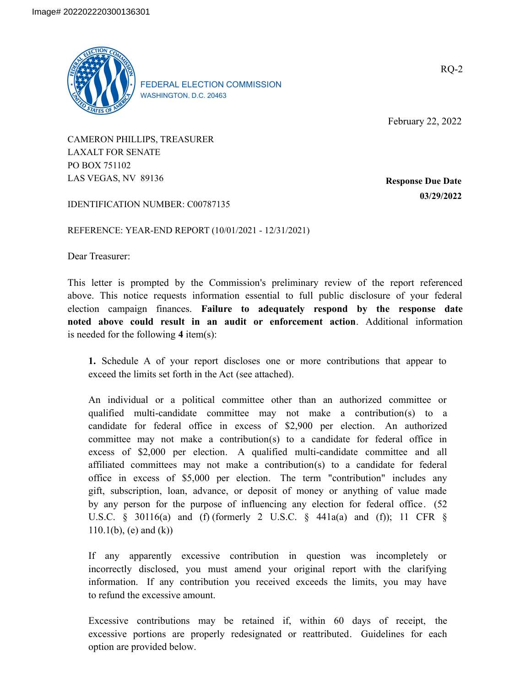

FEDERAL ELECTION COMMISSION WASHINGTON, D.C. 20463

February 22, 2022

CAMERON PHILLIPS, TREASURER LAXALT FOR SENATE PO BOX 751102 LAS VEGAS, NV 89136

**Response Due Date 03/29/2022**

IDENTIFICATION NUMBER: C00787135

REFERENCE: YEAR-END REPORT (10/01/2021 - 12/31/2021)

Dear Treasurer:

This letter is prompted by the Commission's preliminary review of the report referenced above. This notice requests information essential to full public disclosure of your federal election campaign finances. **Failure to adequately respond by the response date noted above could result in an audit or enforcement action**. Additional information is needed for the following **4** item(s):

**1.** Schedule A of your report discloses one or more contributions that appear to exceed the limits set forth in the Act (see attached).

An individual or a political committee other than an authorized committee or qualified multi-candidate committee may not make a contribution(s) to a candidate for federal office in excess of \$2,900 per election. An authorized committee may not make a contribution(s) to a candidate for federal office in excess of \$2,000 per election. A qualified multi-candidate committee and all affiliated committees may not make a contribution(s) to a candidate for federal office in excess of \$5,000 per election. The term "contribution" includes any gift, subscription, loan, advance, or deposit of money or anything of value made by any person for the purpose of influencing any election for federal office. (52 U.S.C. § 30116(a) and (f) (formerly 2 U.S.C. § 441a(a) and (f)); 11 CFR §  $110.1(b)$ , (e) and (k))

If any apparently excessive contribution in question was incompletely or incorrectly disclosed, you must amend your original report with the clarifying information. If any contribution you received exceeds the limits, you may have to refund the excessive amount.

Excessive contributions may be retained if, within 60 days of receipt, the excessive portions are properly redesignated or reattributed. Guidelines for each option are provided below.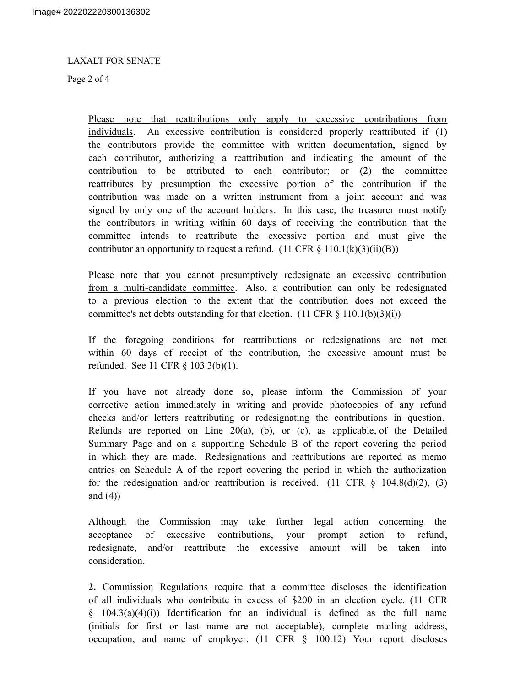### LAXALT FOR SENATE

Page 2 of 4

Please note that reattributions only apply to excessive contributions from individuals. An excessive contribution is considered properly reattributed if (1) the contributors provide the committee with written documentation, signed by each contributor, authorizing a reattribution and indicating the amount of the contribution to be attributed to each contributor; or (2) the committee reattributes by presumption the excessive portion of the contribution if the contribution was made on a written instrument from a joint account and was signed by only one of the account holders. In this case, the treasurer must notify the contributors in writing within 60 days of receiving the contribution that the committee intends to reattribute the excessive portion and must give the contributor an opportunity to request a refund.  $(11 \text{ CFR } \S 110.1(k)(3)(ii)(B))$ 

Please note that you cannot presumptively redesignate an excessive contribution from a multi-candidate committee. Also, a contribution can only be redesignated to a previous election to the extent that the contribution does not exceed the committee's net debts outstanding for that election.  $(11 \text{ CFR } \S \ 110.1(b)(3)(i))$ 

If the foregoing conditions for reattributions or redesignations are not met within 60 days of receipt of the contribution, the excessive amount must be refunded. See 11 CFR § 103.3(b)(1).

If you have not already done so, please inform the Commission of your corrective action immediately in writing and provide photocopies of any refund checks and/or letters reattributing or redesignating the contributions in question. Refunds are reported on Line  $20(a)$ , (b), or (c), as applicable, of the Detailed Summary Page and on a supporting Schedule B of the report covering the period in which they are made. Redesignations and reattributions are reported as memo entries on Schedule A of the report covering the period in which the authorization for the redesignation and/or reattribution is received. (11 CFR  $\S$  104.8(d)(2), (3) and  $(4)$ )

Although the Commission may take further legal action concerning the acceptance of excessive contributions, your prompt action to refund, redesignate, and/or reattribute the excessive amount will be taken into consideration.

**2.** Commission Regulations require that a committee discloses the identification of all individuals who contribute in excess of \$200 in an election cycle. (11 CFR  $§$  104.3(a)(4)(i)) Identification for an individual is defined as the full name (initials for first or last name are not acceptable), complete mailing address, occupation, and name of employer.  $(11 \text{ CFR } \text{g} 100.12)$  Your report discloses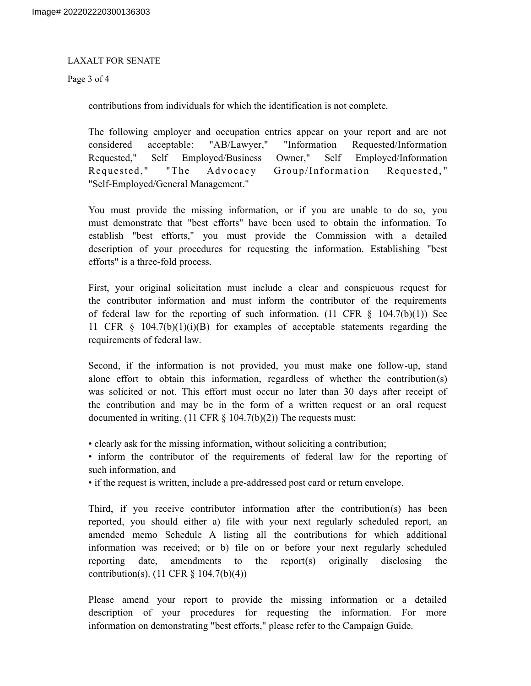### LAXALT FOR SENATE

Page 3 of 4

contributions from individuals for which the identification is not complete.

The following employer and occupation entries appear on your report and are not considered acceptable: "AB/Lawyer," "Information Requested/Information Requested," Self Employed/Business Owner," Self Employed/Information Requested," "The Advocacy Group/Information Requested, " "Self-Employed/General Management."

You must provide the missing information, or if you are unable to do so, you must demonstrate that "best efforts" have been used to obtain the information. To establish "best efforts," you must provide the Commission with a detailed description of your procedures for requesting the information. Establishing "best efforts" is a three-fold process.

First, your original solicitation must include a clear and conspicuous request for the contributor information and must inform the contributor of the requirements of federal law for the reporting of such information. (11 CFR  $\S$  104.7(b)(1)) See 11 CFR § 104.7(b)(1)(i)(B) for examples of acceptable statements regarding the requirements of federal law.

Second, if the information is not provided, you must make one follow-up, stand alone effort to obtain this information, regardless of whether the contribution(s) was solicited or not. This effort must occur no later than 30 days after receipt of the contribution and may be in the form of a written request or an oral request documented in writing. (11 CFR  $\S$  104.7(b)(2)) The requests must:

• clearly ask for the missing information, without soliciting a contribution;

• inform the contributor of the requirements of federal law for the reporting of such information, and

• if the request is written, include a pre-addressed post card or return envelope.

Third, if you receive contributor information after the contribution(s) has been reported, you should either a) file with your next regularly scheduled report, an amended memo Schedule A listing all the contributions for which additional information was received; or b) file on or before your next regularly scheduled reporting date, amendments to the report(s) originally disclosing the contribution(s). (11 CFR § 104.7(b)(4))

Please amend your report to provide the missing information or a detailed description of your procedures for requesting the information. For more information on demonstrating "best efforts," please refer to the Campaign Guide.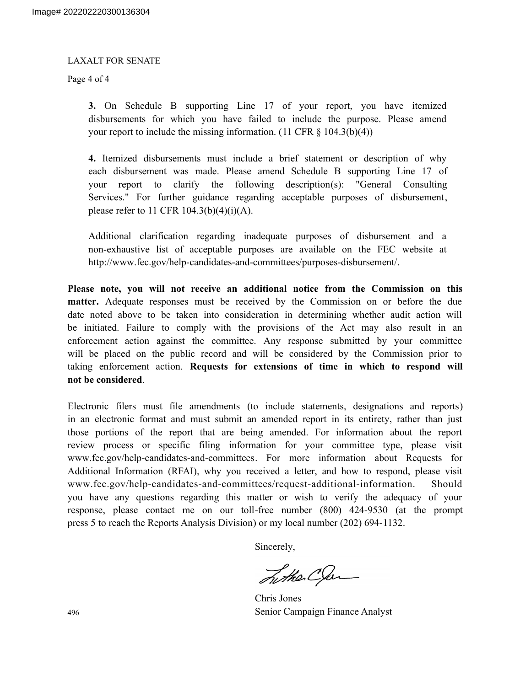#### LAXALT FOR SENATE

Page 4 of 4

**3.** On Schedule B supporting Line 17 of your report, you have itemized disbursements for which you have failed to include the purpose. Please amend your report to include the missing information.  $(11 \text{ CFR } \S \ 104.3(b)(4))$ 

**4.** Itemized disbursements must include a brief statement or description of why each disbursement was made. Please amend Schedule B supporting Line 17 of your report to clarify the following description(s): "General Consulting Services." For further guidance regarding acceptable purposes of disbursement, please refer to 11 CFR  $104.3(b)(4)(i)(A)$ .

Additional clarification regarding inadequate purposes of disbursement and a non-exhaustive list of acceptable purposes are available on the FEC website at http://www.fec.gov/help-candidates-and-committees/purposes-disbursement/.

**Please note, you will not receive an additional notice from the Commission on this matter.** Adequate responses must be received by the Commission on or before the due date noted above to be taken into consideration in determining whether audit action will be initiated. Failure to comply with the provisions of the Act may also result in an enforcement action against the committee. Any response submitted by your committee will be placed on the public record and will be considered by the Commission prior to taking enforcement action. **Requests for extensions of time in which to respond will not be considered**.

Electronic filers must file amendments (to include statements, designations and reports) in an electronic format and must submit an amended report in its entirety, rather than just those portions of the report that are being amended. For information about the report review process or specific filing information for your committee type, please visit www.fec.gov/help-candidates-and-committees. For more information about Requests for Additional Information (RFAI), why you received a letter, and how to respond, please visit www.fec.gov/help-candidates-and-committees/request-additional-information. Should you have any questions regarding this matter or wish to verify the adequacy of your response, please contact me on our toll-free number (800) 424-9530 (at the prompt press 5 to reach the Reports Analysis Division) or my local number (202) 694-1132.

Sincerely,

Lither Clan

Chris Jones 496 Senior Campaign Finance Analyst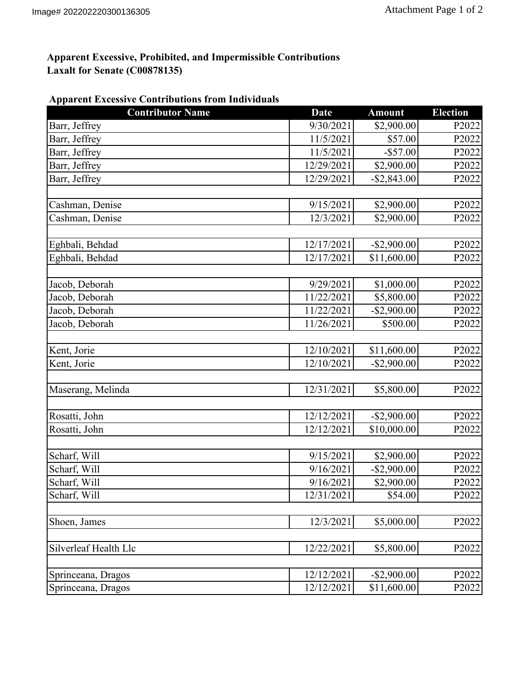# **Apparent Excessive, Prohibited, and Impermissible Contributions Laxalt for Senate (C00878135)**

|  | <b>Apparent Excessive Contributions from Individuals</b> |  |
|--|----------------------------------------------------------|--|
|  |                                                          |  |

| <b>Contributor Name</b> | <b>Date</b> | <b>Amount</b>  | <b>Election</b> |
|-------------------------|-------------|----------------|-----------------|
| Barr, Jeffrey           | 9/30/2021   | \$2,900.00     | P2022           |
| Barr, Jeffrey           | 11/5/2021   | \$57.00        | P2022           |
| Barr, Jeffrey           | 11/5/2021   | $-$ \$57.00    | P2022           |
| Barr, Jeffrey           | 12/29/2021  | \$2,900.00     | P2022           |
| Barr, Jeffrey           | 12/29/2021  | $-$ \$2,843.00 | P2022           |
| Cashman, Denise         | 9/15/2021   | \$2,900.00     | P2022           |
| Cashman, Denise         | 12/3/2021   | \$2,900.00     | P2022           |
| Eghbali, Behdad         | 12/17/2021  | $-$ \$2,900.00 | P2022           |
| Eghbali, Behdad         | 12/17/2021  | \$11,600.00    | P2022           |
| Jacob, Deborah          | 9/29/2021   | \$1,000.00     | P2022           |
| Jacob, Deborah          | 11/22/2021  | \$5,800.00     | P2022           |
| Jacob, Deborah          | 11/22/2021  | $-$ \$2,900.00 | P2022           |
| Jacob, Deborah          | 11/26/2021  | \$500.00       | P2022           |
| Kent, Jorie             | 12/10/2021  | \$11,600.00    | P2022           |
| Kent, Jorie             | 12/10/2021  | $-$ \$2,900.00 | P2022           |
| Maserang, Melinda       | 12/31/2021  | \$5,800.00     | P2022           |
| Rosatti, John           | 12/12/2021  | $-$ \$2,900.00 | P2022           |
| Rosatti, John           | 12/12/2021  | \$10,000.00    | P2022           |
| Scharf, Will            | 9/15/2021   | \$2,900.00     | P2022           |
| Scharf, Will            | 9/16/2021   | $-$ \$2,900.00 | P2022           |
| Scharf, Will            | 9/16/2021   | \$2,900.00     | P2022           |
| Scharf, Will            | 12/31/2021  | \$54.00        | P2022           |
| Shoen, James            | 12/3/2021   | \$5,000.00     | P2022           |
| Silverleaf Health Llc   | 12/22/2021  | \$5,800.00     | P2022           |
| Sprinceana, Dragos      | 12/12/2021  | $-$ \$2,900.00 | P2022           |
| Sprinceana, Dragos      | 12/12/2021  | \$11,600.00    | P2022           |